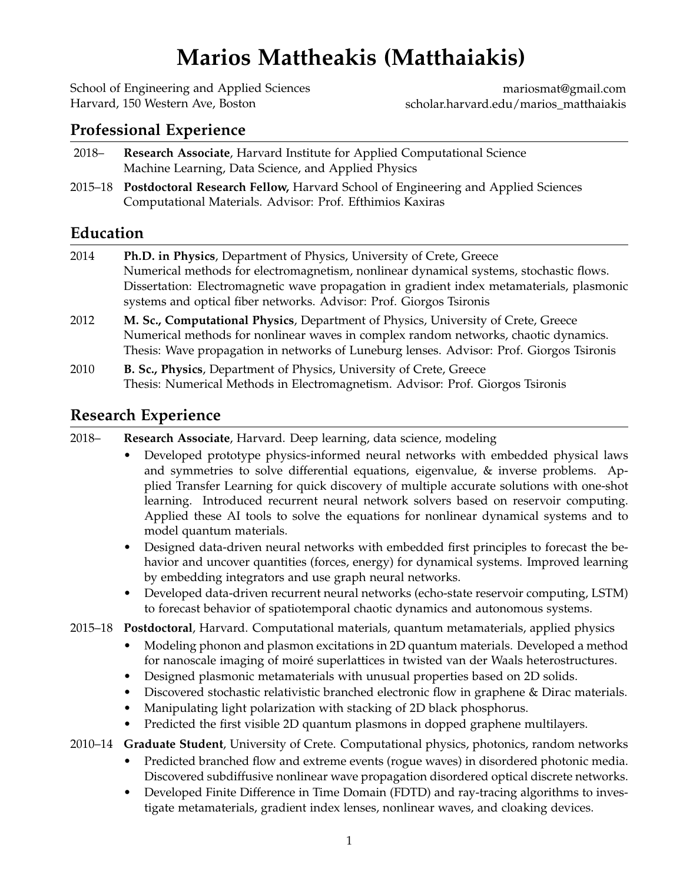# **Marios Mattheakis (Matthaiakis)**

[School of Engineering and Applied Sciences](http://www.seas.harvard.edu/) Harvard, 150 Western Ave, Boston

[mariosmat@gmail.com](mailto:mariosmat@gmail.com) [scholar.harvard.edu/marios\\_matthaiakis](https://scholar.harvard.edu/marios_matthaiakis)

# **Professional Experience**

- 2018– **Research Associate**, Harvard [Institute for Applied Computational Science](https://iacs.seas.harvard.edu/) Machine Learning, Data Science, and Applied Physics
- 2015–18 **Postdoctoral Research Fellow,** [Harvard School of Engineering and Applied Sciences](http://www.seas.harvard.edu/) Computational Materials. Advisor: Prof. Efthimios Kaxiras

# **Education**

- 2014 **Ph.D. in Physics**, Department of Physics, University of Crete, Greece Numerical methods for electromagnetism, nonlinear dynamical systems, stochastic flows. Dissertation: Electromagnetic wave propagation in gradient index metamaterials, plasmonic systems and optical fiber networks. Advisor: Prof. Giorgos Tsironis
- 2012 **M. Sc., Computational Physics**, Department of Physics, University of Crete, Greece Numerical methods for nonlinear waves in complex random networks, chaotic dynamics. Thesis: Wave propagation in networks of Luneburg lenses. Advisor: Prof. Giorgos Tsironis
- 2010 **B. Sc., Physics**, Department of Physics, University of Crete, Greece Thesis: Numerical Methods in Electromagnetism. Advisor: Prof. Giorgos Tsironis

# **Research Experience**

2018– **Research Associate**, Harvard. Deep learning, data science, modeling

- Developed prototype physics-informed neural networks with embedded physical laws and symmetries to solve differential equations, eigenvalue, & inverse problems. Applied Transfer Learning for quick discovery of multiple accurate solutions with one-shot learning. Introduced recurrent neural network solvers based on reservoir computing. Applied these AI tools to solve the equations for nonlinear dynamical systems and to model quantum materials.
- Designed data-driven neural networks with embedded first principles to forecast the behavior and uncover quantities (forces, energy) for dynamical systems. Improved learning by embedding integrators and use graph neural networks.
- Developed data-driven recurrent neural networks (echo-state reservoir computing, LSTM) to forecast behavior of spatiotemporal chaotic dynamics and autonomous systems.
- 2015–18 **Postdoctoral**, Harvard. Computational materials, quantum metamaterials, applied physics
	- Modeling phonon and plasmon excitations in 2D quantum materials. Developed a method for nanoscale imaging of moiré superlattices in twisted van der Waals heterostructures.
	- Designed plasmonic metamaterials with unusual properties based on 2D solids.
	- Discovered stochastic relativistic branched electronic flow in graphene & Dirac materials.
	- Manipulating light polarization with stacking of 2D black phosphorus.
	- Predicted the first visible 2D quantum plasmons in dopped graphene multilayers.
- 2010–14 **Graduate Student**, University of Crete. Computational physics, photonics, random networks
	- Predicted branched flow and extreme events (rogue waves) in disordered photonic media. Discovered subdiffusive nonlinear wave propagation disordered optical discrete networks.
	- Developed Finite Difference in Time Domain (FDTD) and ray-tracing algorithms to investigate metamaterials, gradient index lenses, nonlinear waves, and cloaking devices.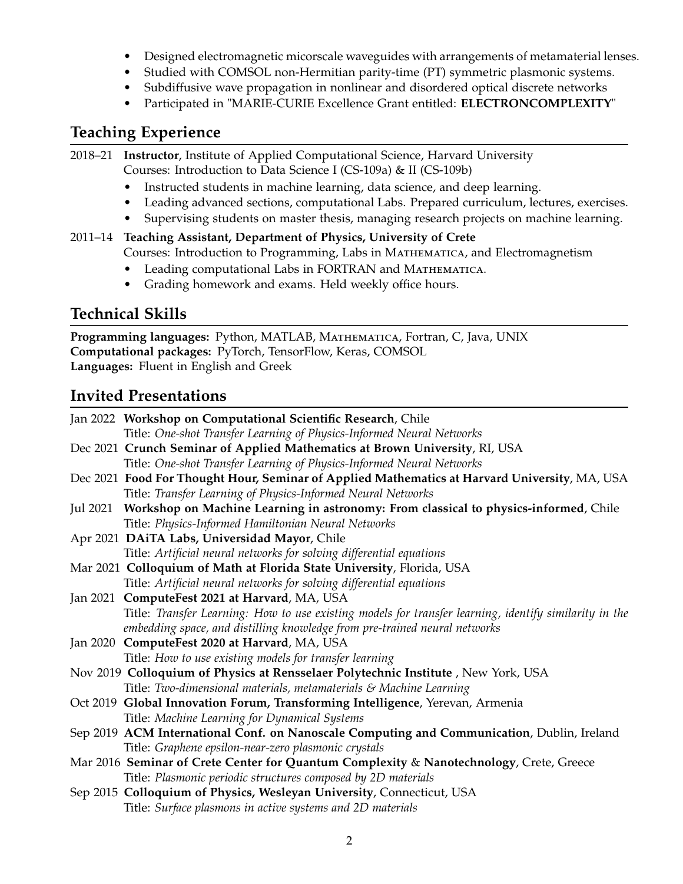- Designed electromagnetic micorscale waveguides with arrangements of metamaterial lenses.
- Studied with COMSOL non-Hermitian parity-time (PT) symmetric plasmonic systems.
- Subdiffusive wave propagation in nonlinear and disordered optical discrete networks
- Participated in "MARIE-CURIE Excellence Grant entitled: **ELECTRONCOMPLEXITY**"

# **Teaching Experience**

```
2018–21 Instructor, Institute of Applied Computational Science, Harvard University
Courses: Introduction to Data Science I (CS-109a) & II (CS-109b)
```
- Instructed students in machine learning, data science, and deep learning.
- Leading advanced sections, computational Labs. Prepared curriculum, lectures, exercises.
- Supervising students on master thesis, managing research projects on machine learning.
- 2011–14 **Teaching Assistant, Department of Physics, University of Crete** Courses: Introduction to Programming, Labs in Mathematica, and Electromagnetism
	- Leading computational Labs in FORTRAN and MATHEMATICA.
	- Grading homework and exams. Held weekly office hours.

# **Technical Skills**

**Programming languages:** Python, MATLAB, Mathematica, Fortran, C, Java, UNIX **Computational packages:** PyTorch, TensorFlow, Keras, COMSOL **Languages:** Fluent in English and Greek

# **Invited Presentations**

| Jan 2022 Workshop on Computational Scientific Research, Chile                                          |
|--------------------------------------------------------------------------------------------------------|
| Title: One-shot Transfer Learning of Physics-Informed Neural Networks                                  |
| Dec 2021 Crunch Seminar of Applied Mathematics at Brown University, RI, USA                            |
| Title: One-shot Transfer Learning of Physics-Informed Neural Networks                                  |
| Dec 2021 Food For Thought Hour, Seminar of Applied Mathematics at Harvard University, MA, USA          |
| Title: Transfer Learning of Physics-Informed Neural Networks                                           |
| Jul 2021 Workshop on Machine Learning in astronomy: From classical to physics-informed, Chile          |
| Title: Physics-Informed Hamiltonian Neural Networks                                                    |
| Apr 2021 DAiTA Labs, Universidad Mayor, Chile                                                          |
| Title: Artificial neural networks for solving differential equations                                   |
| Mar 2021 Colloquium of Math at Florida State University, Florida, USA                                  |
| Title: Artificial neural networks for solving differential equations                                   |
| Jan 2021 ComputeFest 2021 at Harvard, MA, USA                                                          |
| Title: Transfer Learning: How to use existing models for transfer learning, identify similarity in the |
| embedding space, and distilling knowledge from pre-trained neural networks                             |
| Jan 2020 ComputeFest 2020 at Harvard, MA, USA                                                          |
| Title: How to use existing models for transfer learning                                                |
| Nov 2019 Colloquium of Physics at Rensselaer Polytechnic Institute, New York, USA                      |
| Title: Two-dimensional materials, metamaterials & Machine Learning                                     |
| Oct 2019 Global Innovation Forum, Transforming Intelligence, Yerevan, Armenia                          |
| Title: Machine Learning for Dynamical Systems                                                          |
| Sep 2019 ACM International Conf. on Nanoscale Computing and Communication, Dublin, Ireland             |
| Title: Graphene epsilon-near-zero plasmonic crystals                                                   |
| Mar 2016 Seminar of Crete Center for Quantum Complexity & Nanotechnology, Crete, Greece                |
| Title: Plasmonic periodic structures composed by 2D materials                                          |
| Sep 2015 Colloquium of Physics, Wesleyan University, Connecticut, USA                                  |
| Title: Surface plasmons in active systems and 2D materials                                             |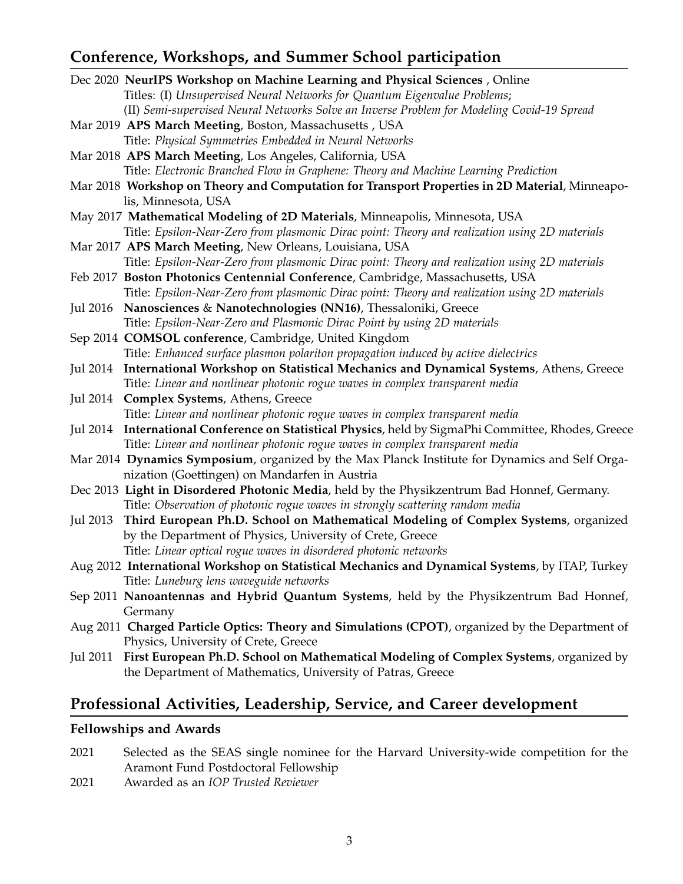# **Conference, Workshops, and Summer School participation**

| Dec 2020 NeurIPS Workshop on Machine Learning and Physical Sciences, Online                          |  |  |
|------------------------------------------------------------------------------------------------------|--|--|
| Titles: (I) Unsupervised Neural Networks for Quantum Eigenvalue Problems;                            |  |  |
| (II) Semi-supervised Neural Networks Solve an Inverse Problem for Modeling Covid-19 Spread           |  |  |
| Mar 2019 APS March Meeting, Boston, Massachusetts, USA                                               |  |  |
| Title: Physical Symmetries Embedded in Neural Networks                                               |  |  |
| Mar 2018 APS March Meeting, Los Angeles, California, USA                                             |  |  |
| Title: Electronic Branched Flow in Graphene: Theory and Machine Learning Prediction                  |  |  |
| Mar 2018 Workshop on Theory and Computation for Transport Properties in 2D Material, Minneapo-       |  |  |
| lis, Minnesota, USA                                                                                  |  |  |
| May 2017 Mathematical Modeling of 2D Materials, Minneapolis, Minnesota, USA                          |  |  |
| Title: Epsilon-Near-Zero from plasmonic Dirac point: Theory and realization using 2D materials       |  |  |
| Mar 2017 APS March Meeting, New Orleans, Louisiana, USA                                              |  |  |
| Title: Epsilon-Near-Zero from plasmonic Dirac point: Theory and realization using 2D materials       |  |  |
| Feb 2017 Boston Photonics Centennial Conference, Cambridge, Massachusetts, USA                       |  |  |
| Title: Epsilon-Near-Zero from plasmonic Dirac point: Theory and realization using 2D materials       |  |  |
| Jul 2016 Nanosciences & Nanotechnologies (NN16), Thessaloniki, Greece                                |  |  |
| Title: Epsilon-Near-Zero and Plasmonic Dirac Point by using 2D materials                             |  |  |
| Sep 2014 COMSOL conference, Cambridge, United Kingdom                                                |  |  |
| Title: Enhanced surface plasmon polariton propagation induced by active dielectrics                  |  |  |
| International Workshop on Statistical Mechanics and Dynamical Systems, Athens, Greece<br>Jul 2014    |  |  |
| Title: Linear and nonlinear photonic rogue waves in complex transparent media                        |  |  |
| Complex Systems, Athens, Greece<br>Jul 2014                                                          |  |  |
| Title: Linear and nonlinear photonic rogue waves in complex transparent media                        |  |  |
| Jul 2014 International Conference on Statistical Physics, held by SigmaPhi Committee, Rhodes, Greece |  |  |
| Title: Linear and nonlinear photonic rogue waves in complex transparent media                        |  |  |
| Mar 2014 Dynamics Symposium, organized by the Max Planck Institute for Dynamics and Self Orga-       |  |  |
| nization (Goettingen) on Mandarfen in Austria                                                        |  |  |
| Dec 2013 Light in Disordered Photonic Media, held by the Physikzentrum Bad Honnef, Germany.          |  |  |
| Title: Observation of photonic rogue waves in strongly scattering random media                       |  |  |
| Jul 2013 Third European Ph.D. School on Mathematical Modeling of Complex Systems, organized          |  |  |
| by the Department of Physics, University of Crete, Greece                                            |  |  |
| Title: Linear optical rogue waves in disordered photonic networks                                    |  |  |
| Aug 2012 International Workshop on Statistical Mechanics and Dynamical Systems, by ITAP, Turkey      |  |  |
| Title: Luneburg lens waveguide networks                                                              |  |  |
| Sep 2011 Nanoantennas and Hybrid Quantum Systems, held by the Physikzentrum Bad Honnef,              |  |  |
| Germany                                                                                              |  |  |
| Aug 2011 Charged Particle Optics: Theory and Simulations (CPOT), organized by the Department of      |  |  |
| Physics, University of Crete, Greece                                                                 |  |  |
| First European Ph.D. School on Mathematical Modeling of Complex Systems, organized by<br>Jul 2011    |  |  |
| the Department of Mathematics, University of Patras, Greece                                          |  |  |
|                                                                                                      |  |  |
| Professional Activities, Leadership, Service, and Career development                                 |  |  |
|                                                                                                      |  |  |

#### **Fellowships and Awards**

- 2021 Selected as the SEAS single nominee for the Harvard University-wide competition for the Aramont Fund Postdoctoral Fellowship
- 2021 Awarded as an *IOP Trusted Reviewer*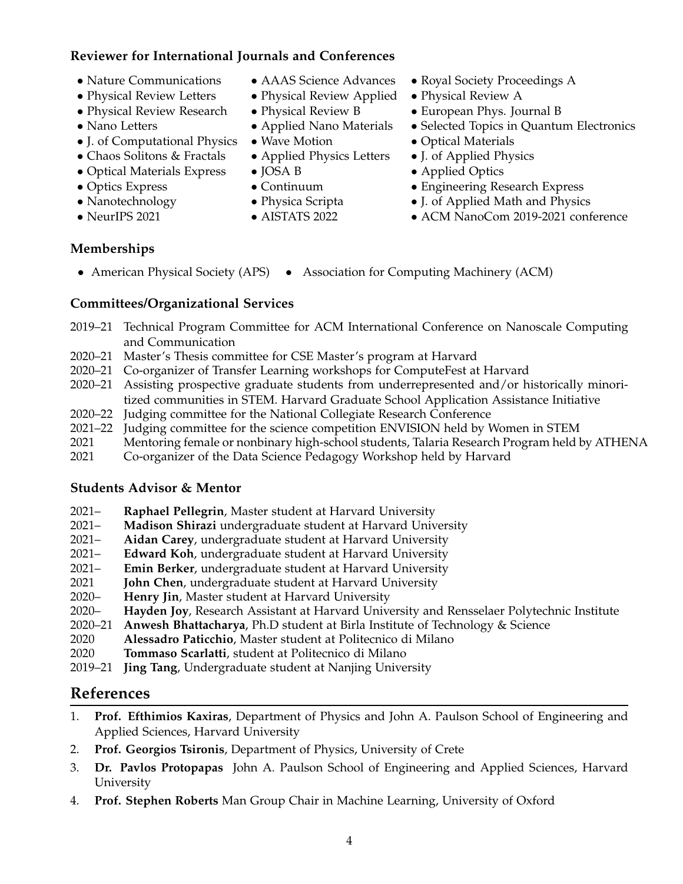## **Reviewer for International Journals and Conferences**

- 
- Physical Review Letters Physical Review Applied Physical Review A
- Physical Review Research Physical Review B European Phys. Journal B
- 
- J. of Computational Physics Wave Motion Optical Materials
- Chaos Solitons & Fractals Applied Physics Letters J. of Applied Physics
- Optical Materials Express JOSA B Applied Optics
- 
- 
- 
- 
- 
- 
- 
- 
- 
- 
- 
- 
- 
- Nature Communications AAAS Science Advances Royal Society Proceedings A
	-
	-
- Nano Letters Applied Nano Materials Selected Topics in Quantum Electronics
	-
	-
	-
- Optics Express Continuum Continuum Engineering Research Express
- Nanotechnology Physica Scripta J. of Applied Math and Physics
- NeurIPS 2021 AISTATS 2022 ACM NanoCom 2019-2021 conference

## **Memberships**

• American Physical Society (APS) • Association for Computing Machinery (ACM)

## **Committees/Organizational Services**

- 2019–21 Technical Program Committee for ACM International Conference on Nanoscale Computing and Communication
- 2020–21 Master's Thesis committee for CSE Master's program at Harvard
- 2020–21 Co-organizer of Transfer Learning workshops for ComputeFest at Harvard
- 2020–21 Assisting prospective graduate students from underrepresented and/or historically minoritized communities in STEM. Harvard Graduate School Application Assistance Initiative
- 2020–22 Judging committee for the National Collegiate Research Conference
- 2021–22 Judging committee for the science competition ENVISION held by Women in STEM
- 2021 Mentoring female or nonbinary high-school students, Talaria Research Program held by ATHENA
- 2021 Co-organizer of the Data Science Pedagogy Workshop held by Harvard

#### **Students Advisor & Mentor**

- 2021– **Raphael Pellegrin**, Master student at Harvard University
- 2021– **Madison Shirazi** undergraduate student at Harvard University
- 2021– **Aidan Carey**, undergraduate student at Harvard University
- 2021– **Edward Koh**, undergraduate student at Harvard University
- 2021– **Emin Berker**, undergraduate student at Harvard University
- 2021 **John Chen**, undergraduate student at Harvard University
- 2020– **Henry Jin**, Master student at Harvard University
- 2020– **Hayden Joy**, Research Assistant at Harvard University and Rensselaer Polytechnic Institute
- 2020–21 **Anwesh Bhattacharya**, Ph.D student at Birla Institute of Technology & Science
- 2020 **Alessadro Paticchio**, Master student at Politecnico di Milano
- 2020 **Tommaso Scarlatti**, student at Politecnico di Milano
- 2019–21 **Jing Tang**, Undergraduate student at Nanjing University

# **References**

- 1. **Prof. Efthimios Kaxiras**, Department of Physics and John A. Paulson School of Engineering and Applied Sciences, Harvard University
- 2. **Prof. Georgios Tsironis**, Department of Physics, University of Crete
- 3. **Dr. Pavlos Protopapas** John A. Paulson School of Engineering and Applied Sciences, Harvard University
- 4. **Prof. Stephen Roberts** Man Group Chair in Machine Learning, University of Oxford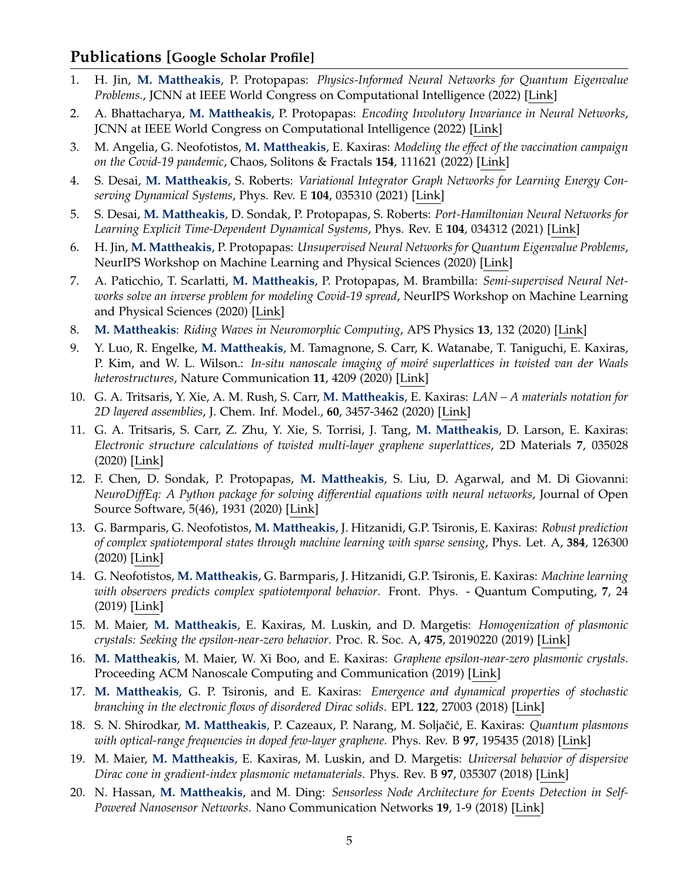## **Publications [[Google Scholar Profile\]](https://scholar.google.com/citations?user=G00smmMAAAAJ&hl=en&authuser=1)**

- 1. H. Jin, **M. Mattheakis**, P. Protopapas: *Physics-Informed Neural Networks for Quantum Eigenvalue Problems.*, JCNN at IEEE World Congress on Computational Intelligence (2022) [\[Link\]](https://arxiv.org/abs/2203.00451)
- 2. A. Bhattacharya, **M. Mattheakis**, P. Protopapas: *Encoding Involutory Invariance in Neural Networks*, JCNN at IEEE World Congress on Computational Intelligence (2022) [\[Link\]](https://arxiv.org/abs/2106.12891)
- 3. M. Angelia, G. Neofotistos, **M. Mattheakis**, E. Kaxiras: *Modeling the effect of the vaccination campaign on the Covid-19 pandemic*, Chaos, Solitons & Fractals **154**, 111621 (2022) [\[Link\]](https://www.sciencedirect.com/science/article/pii/S0960077921009759?via%3Dihub)
- 4. S. Desai, **M. Mattheakis**, S. Roberts: *Variational Integrator Graph Networks for Learning Energy Conserving Dynamical Systems*, Phys. Rev. E **104**, 035310 (2021) [\[Link\]](https://journals.aps.org/pre/abstract/10.1103/PhysRevE.104.035310)
- 5. S. Desai, **M. Mattheakis**, D. Sondak, P. Protopapas, S. Roberts: *Port-Hamiltonian Neural Networks for Learning Explicit Time-Dependent Dynamical Systems*, Phys. Rev. E **104**, 034312 (2021) [\[Link\]](https://journals.aps.org/pre/abstract/10.1103/PhysRevE.104.034312)
- 6. H. Jin, **M. Mattheakis**, P. Protopapas: *Unsupervised Neural Networks for Quantum Eigenvalue Problems*, NeurIPS Workshop on Machine Learning and Physical Sciences (2020) [\[Link\]](https://ml4physicalsciences.github.io/2020/files/NeurIPS_ML4PS_2020_16.pdf)
- 7. A. Paticchio, T. Scarlatti, **M. Mattheakis**, P. Protopapas, M. Brambilla: *Semi-supervised Neural Networks solve an inverse problem for modeling Covid-19 spread*, NeurIPS Workshop on Machine Learning and Physical Sciences (2020) [\[Link\]](https://ml4physicalsciences.github.io/2020/files/NeurIPS_ML4PS_2020_29.pdf)
- 8. **M. Mattheakis**: *Riding Waves in Neuromorphic Computing*, APS Physics **13**, 132 (2020) [\[Link\]](https://physics.aps.org/articles/v13/132)
- 9. Y. Luo, R. Engelke, **M. Mattheakis**, M. Tamagnone, S. Carr, K. Watanabe, T. Taniguchi, E. Kaxiras, P. Kim, and W. L. Wilson.: *In-situ nanoscale imaging of moiré superlattices in twisted van der Waals heterostructures*, Nature Communication **11**, 4209 (2020) [\[Link\]](https://www.nature.com/articles/s41467-020-18109-0#Sec11)
- 10. G. A. Tritsaris, Y. Xie, A. M. Rush, S. Carr, **M. Mattheakis**, E. Kaxiras: *LAN A materials notation for 2D layered assemblies*, J. Chem. Inf. Model., **60**, 3457-3462 (2020) [\[Link\]](https://pubs.acs.org/doi/10.1021/acs.jcim.0c00630)
- 11. G. A. Tritsaris, S. Carr, Z. Zhu, Y. Xie, S. Torrisi, J. Tang, **M. Mattheakis**, D. Larson, E. Kaxiras: *Electronic structure calculations of twisted multi-layer graphene superlattices*, 2D Materials **7**, 035028 (2020) [\[Link\]](https://iopscience.iop.org/article/10.1088/2053-1583/ab8f62)
- 12. F. Chen, D. Sondak, P. Protopapas, **M. Mattheakis**, S. Liu, D. Agarwal, and M. Di Giovanni: *NeuroDiffEq: A Python package for solving differential equations with neural networks*, Journal of Open Source Software, 5(46), 1931 (2020) [\[Link\]](https://joss.theoj.org/papers/10.21105/joss.01931)
- 13. G. Barmparis, G. Neofotistos, **M. Mattheakis**, J. Hitzanidi, G.P. Tsironis, E. Kaxiras: *Robust prediction of complex spatiotemporal states through machine learning with sparse sensing*, Phys. Let. A, **384**, 126300 (2020) [\[Link\]](https://reader.elsevier.com/reader/sd/pii/S0375960120300992?token=4C31D05251762E1251C7541821230D0DAE8284FC816154A7BEFE775E594A15976A04D4BA8B5306E3F83583EE89D18F12)
- 14. G. Neofotistos, **M. Mattheakis**, G. Barmparis, J. Hitzanidi, G.P. Tsironis, E. Kaxiras: *Machine learning with observers predicts complex spatiotemporal behavior*. Front. Phys. - Quantum Computing, **7**, 24 (2019) [\[Link\]](https://www.frontiersin.org/articles/10.3389/fphy.2019.00024/full)
- 15. M. Maier, **M. Mattheakis**, E. Kaxiras, M. Luskin, and D. Margetis: *Homogenization of plasmonic crystals: Seeking the epsilon-near-zero behavior*. Proc. R. Soc. A, **475**, 20190220 (2019) [\[Link\]](https://royalsocietypublishing.org/doi/10.1098/rspa.2019.0220)
- 16. **M. Mattheakis**, M. Maier, W. Xi Boo, and E. Kaxiras: *Graphene epsilon-near-zero plasmonic crystals*. Proceeding ACM Nanoscale Computing and Communication (2019) [\[Link\]](https://dl.acm.org/citation.cfm?doid=3345312.3345496)
- 17. **M. Mattheakis**, G. P. Tsironis, and E. Kaxiras: *Emergence and dynamical properties of stochastic branching in the electronic flows of disordered Dirac solids*. EPL **122**, 27003 (2018) [\[Link\]](http://iopscience.iop.org/article/10.1209/0295-5075/122/27003/meta)
- 18. S. N. Shirodkar, **M. Mattheakis**, P. Cazeaux, P. Narang, M. Soljaˇci´c, E. Kaxiras: *Quantum plasmons with optical-range frequencies in doped few-layer graphene.* Phys. Rev. B **97**, 195435 (2018) [\[Link\]](https://journals.aps.org/prb/abstract/10.1103/PhysRevB.97.195435)
- 19. M. Maier, **M. Mattheakis**, E. Kaxiras, M. Luskin, and D. Margetis: *Universal behavior of dispersive Dirac cone in gradient-index plasmonic metamaterials*. Phys. Rev. B **97**, 035307 (2018) [\[Link\]](https://journals.aps.org/prb/abstract/10.1103/PhysRevB.97.035307)
- 20. N. Hassan, **M. Mattheakis**, and M. Ding: *Sensorless Node Architecture for Events Detection in Self-Powered Nanosensor Networks*. Nano Communication Networks **19**, 1-9 (2018) [\[Link\]](https://www.sciencedirect.com/science/article/pii/S1878778918300784?via{%}3Dihub)